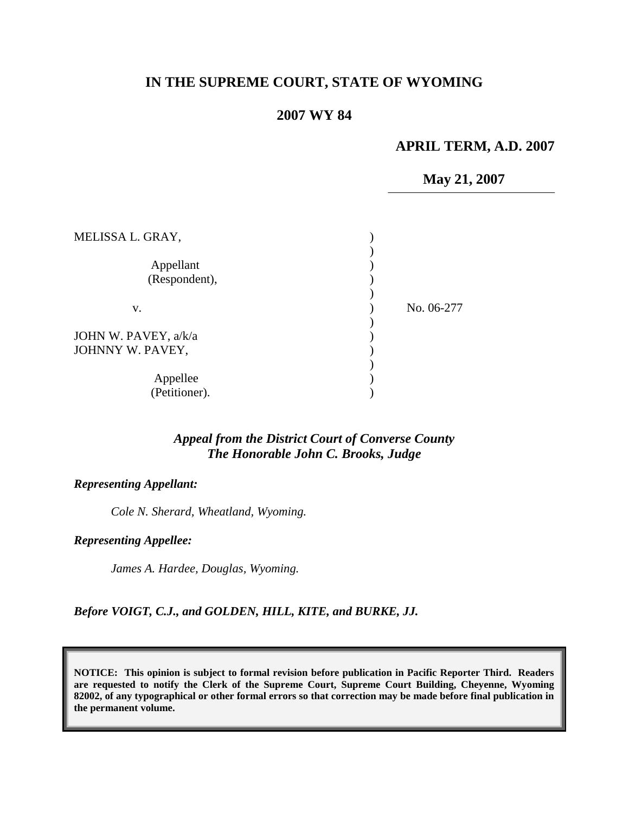# **IN THE SUPREME COURT, STATE OF WYOMING**

# **2007 WY 84**

#### **APRIL TERM, A.D. 2007**

**May 21, 2007**

| MELISSA L. GRAY,     |            |
|----------------------|------------|
|                      |            |
| Appellant            |            |
| (Respondent),        |            |
|                      |            |
| v.                   | No. 06-277 |
|                      |            |
| JOHN W. PAVEY, a/k/a |            |
| JOHNNY W. PAVEY,     |            |
|                      |            |
| Appellee             |            |
| (Petitioner).        |            |

### *Appeal from the District Court of Converse County The Honorable John C. Brooks, Judge*

#### *Representing Appellant:*

*Cole N. Sherard, Wheatland, Wyoming.*

#### *Representing Appellee:*

*James A. Hardee, Douglas, Wyoming.*

*Before VOIGT, C.J., and GOLDEN, HILL, KITE, and BURKE, JJ.*

**NOTICE: This opinion is subject to formal revision before publication in Pacific Reporter Third. Readers are requested to notify the Clerk of the Supreme Court, Supreme Court Building, Cheyenne, Wyoming 82002, of any typographical or other formal errors so that correction may be made before final publication in the permanent volume.**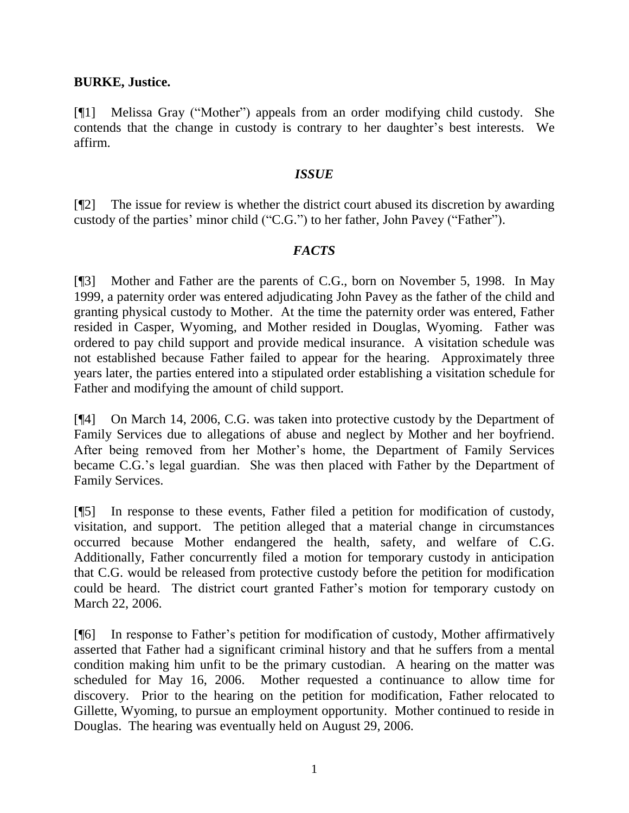### **BURKE, Justice.**

[¶1] Melissa Gray ("Mother") appeals from an order modifying child custody. She contends that the change in custody is contrary to her daughter's best interests. We affirm.

#### *ISSUE*

[¶2] The issue for review is whether the district court abused its discretion by awarding custody of the parties' minor child ("C.G.") to her father, John Pavey ("Father").

# *FACTS*

[¶3] Mother and Father are the parents of C.G., born on November 5, 1998. In May 1999, a paternity order was entered adjudicating John Pavey as the father of the child and granting physical custody to Mother. At the time the paternity order was entered, Father resided in Casper, Wyoming, and Mother resided in Douglas, Wyoming. Father was ordered to pay child support and provide medical insurance. A visitation schedule was not established because Father failed to appear for the hearing. Approximately three years later, the parties entered into a stipulated order establishing a visitation schedule for Father and modifying the amount of child support.

[¶4] On March 14, 2006, C.G. was taken into protective custody by the Department of Family Services due to allegations of abuse and neglect by Mother and her boyfriend. After being removed from her Mother's home, the Department of Family Services became C.G.'s legal guardian. She was then placed with Father by the Department of Family Services.

[¶5] In response to these events, Father filed a petition for modification of custody, visitation, and support. The petition alleged that a material change in circumstances occurred because Mother endangered the health, safety, and welfare of C.G. Additionally, Father concurrently filed a motion for temporary custody in anticipation that C.G. would be released from protective custody before the petition for modification could be heard. The district court granted Father's motion for temporary custody on March 22, 2006.

[¶6] In response to Father's petition for modification of custody, Mother affirmatively asserted that Father had a significant criminal history and that he suffers from a mental condition making him unfit to be the primary custodian. A hearing on the matter was scheduled for May 16, 2006. Mother requested a continuance to allow time for discovery. Prior to the hearing on the petition for modification, Father relocated to Gillette, Wyoming, to pursue an employment opportunity. Mother continued to reside in Douglas. The hearing was eventually held on August 29, 2006.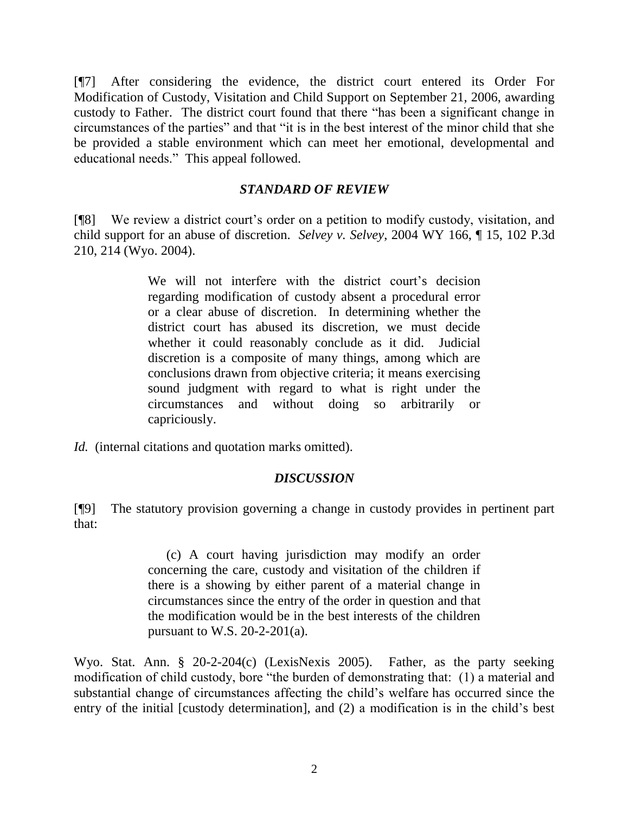[¶7] After considering the evidence, the district court entered its Order For Modification of Custody, Visitation and Child Support on September 21, 2006, awarding custody to Father. The district court found that there "has been a significant change in circumstances of the parties" and that "it is in the best interest of the minor child that she be provided a stable environment which can meet her emotional, developmental and educational needs." This appeal followed.

# *STANDARD OF REVIEW*

[¶8] We review a district court's order on a petition to modify custody, visitation, and child support for an abuse of discretion. *Selvey v. Selvey*, 2004 WY 166, ¶ 15, 102 P.3d 210, 214 (Wyo. 2004).

> We will not interfere with the district court's decision regarding modification of custody absent a procedural error or a clear abuse of discretion. In determining whether the district court has abused its discretion, we must decide whether it could reasonably conclude as it did. Judicial discretion is a composite of many things, among which are conclusions drawn from objective criteria; it means exercising sound judgment with regard to what is right under the circumstances and without doing so arbitrarily or capriciously.

*Id.* (internal citations and quotation marks omitted).

#### *DISCUSSION*

[¶9] The statutory provision governing a change in custody provides in pertinent part that:

> (c) A court having jurisdiction may modify an order concerning the care, custody and visitation of the children if there is a showing by either parent of a material change in circumstances since the entry of the order in question and that the modification would be in the best interests of the children pursuant to W.S. 20-2-201(a).

Wyo. Stat. Ann. § 20-2-204(c) (LexisNexis 2005). Father, as the party seeking modification of child custody, bore "the burden of demonstrating that: (1) a material and substantial change of circumstances affecting the child's welfare has occurred since the entry of the initial [custody determination], and (2) a modification is in the child's best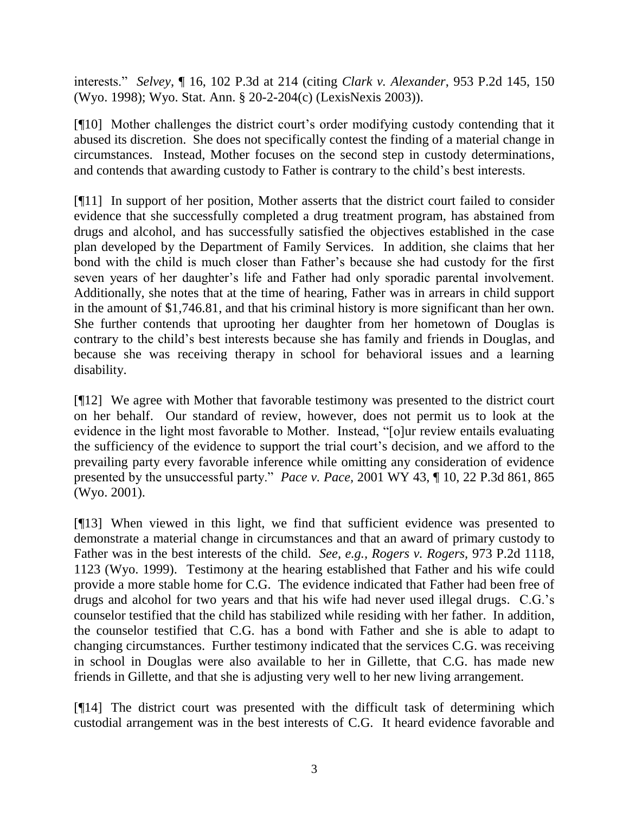interests." *Selvey*, ¶ 16, 102 P.3d at 214 (citing *Clark v. Alexander*, 953 P.2d 145, 150 (Wyo. 1998); Wyo. Stat. Ann. § 20-2-204(c) (LexisNexis 2003)).

[¶10] Mother challenges the district court's order modifying custody contending that it abused its discretion. She does not specifically contest the finding of a material change in circumstances. Instead, Mother focuses on the second step in custody determinations, and contends that awarding custody to Father is contrary to the child's best interests.

[¶11] In support of her position, Mother asserts that the district court failed to consider evidence that she successfully completed a drug treatment program, has abstained from drugs and alcohol, and has successfully satisfied the objectives established in the case plan developed by the Department of Family Services. In addition, she claims that her bond with the child is much closer than Father's because she had custody for the first seven years of her daughter's life and Father had only sporadic parental involvement. Additionally, she notes that at the time of hearing, Father was in arrears in child support in the amount of \$1,746.81, and that his criminal history is more significant than her own. She further contends that uprooting her daughter from her hometown of Douglas is contrary to the child's best interests because she has family and friends in Douglas, and because she was receiving therapy in school for behavioral issues and a learning disability.

[¶12] We agree with Mother that favorable testimony was presented to the district court on her behalf. Our standard of review, however, does not permit us to look at the evidence in the light most favorable to Mother. Instead, "[o]ur review entails evaluating the sufficiency of the evidence to support the trial court's decision, and we afford to the prevailing party every favorable inference while omitting any consideration of evidence presented by the unsuccessful party." *Pace v. Pace,* 2001 WY 43, ¶ 10, 22 P.3d 861, 865 (Wyo. 2001).

[¶13] When viewed in this light, we find that sufficient evidence was presented to demonstrate a material change in circumstances and that an award of primary custody to Father was in the best interests of the child. *See, e.g., Rogers v. Rogers,* 973 P.2d 1118, 1123 (Wyo. 1999). Testimony at the hearing established that Father and his wife could provide a more stable home for C.G. The evidence indicated that Father had been free of drugs and alcohol for two years and that his wife had never used illegal drugs. C.G.'s counselor testified that the child has stabilized while residing with her father. In addition, the counselor testified that C.G. has a bond with Father and she is able to adapt to changing circumstances. Further testimony indicated that the services C.G. was receiving in school in Douglas were also available to her in Gillette, that C.G. has made new friends in Gillette, and that she is adjusting very well to her new living arrangement.

[¶14] The district court was presented with the difficult task of determining which custodial arrangement was in the best interests of C.G. It heard evidence favorable and